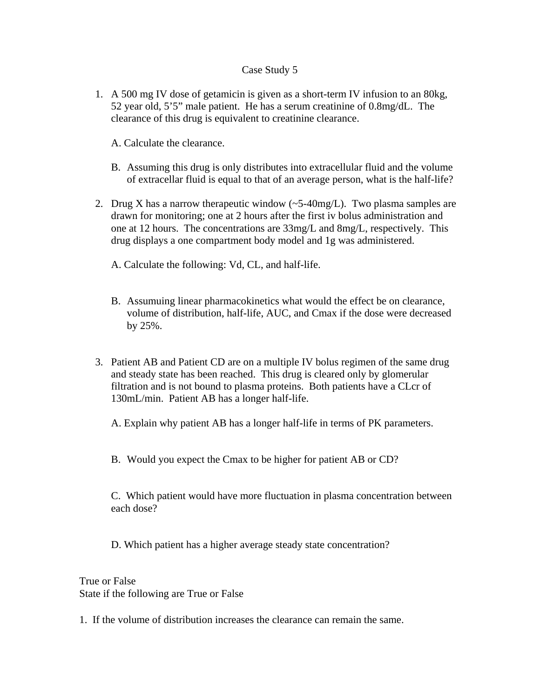## Case Study 5

- 1. A 500 mg IV dose of getamicin is given as a short-term IV infusion to an 80kg, 52 year old, 5'5" male patient. He has a serum creatinine of 0.8mg/dL. The clearance of this drug is equivalent to creatinine clearance.
	- A. Calculate the clearance.
	- B. Assuming this drug is only distributes into extracellular fluid and the volume of extracellar fluid is equal to that of an average person, what is the half-life?
- 2. Drug X has a narrow therapeutic window  $(-5.40 \text{mg/L})$ . Two plasma samples are drawn for monitoring; one at 2 hours after the first iv bolus administration and one at 12 hours. The concentrations are 33mg/L and 8mg/L, respectively. This drug displays a one compartment body model and 1g was administered.
	- A. Calculate the following: Vd, CL, and half-life.
	- B. Assumuing linear pharmacokinetics what would the effect be on clearance, volume of distribution, half-life, AUC, and Cmax if the dose were decreased by 25%.
- 3. Patient AB and Patient CD are on a multiple IV bolus regimen of the same drug and steady state has been reached. This drug is cleared only by glomerular filtration and is not bound to plasma proteins. Both patients have a CLcr of 130mL/min. Patient AB has a longer half-life.
	- A. Explain why patient AB has a longer half-life in terms of PK parameters.
	- B. Would you expect the Cmax to be higher for patient AB or CD?

C. Which patient would have more fluctuation in plasma concentration between each dose?

D. Which patient has a higher average steady state concentration?

True or False State if the following are True or False

1. If the volume of distribution increases the clearance can remain the same.